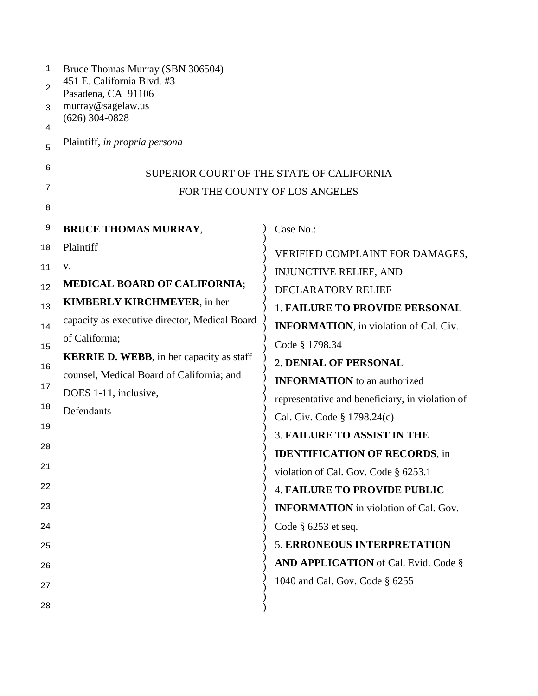| Bruce Thomas Murray (SBN 306504)<br>451 E. California Blvd. #3<br>Pasadena, CA 91106<br>murray@sagelaw.us<br>$(626)$ 304-0828<br>Plaintiff, in propria persona                                                                                                                                          | SUPERIOR COURT OF THE STATE OF CALIFORNIA<br>FOR THE COUNTY OF LOS ANGELES                                                                                                                                                                                                                                                                                                                                                                                                                                                                                                                                                                                                                                                 |
|---------------------------------------------------------------------------------------------------------------------------------------------------------------------------------------------------------------------------------------------------------------------------------------------------------|----------------------------------------------------------------------------------------------------------------------------------------------------------------------------------------------------------------------------------------------------------------------------------------------------------------------------------------------------------------------------------------------------------------------------------------------------------------------------------------------------------------------------------------------------------------------------------------------------------------------------------------------------------------------------------------------------------------------------|
| <b>BRUCE THOMAS MURRAY,</b>                                                                                                                                                                                                                                                                             | Case No.:                                                                                                                                                                                                                                                                                                                                                                                                                                                                                                                                                                                                                                                                                                                  |
| Plaintiff<br>V.<br><b>MEDICAL BOARD OF CALIFORNIA;</b><br><b>KIMBERLY KIRCHMEYER, in her</b><br>capacity as executive director, Medical Board<br>of California;<br><b>KERRIE D. WEBB</b> , in her capacity as staff<br>counsel, Medical Board of California; and<br>DOES 1-11, inclusive,<br>Defendants | VERIFIED COMPLAINT FOR DAMAGES,<br><b>INJUNCTIVE RELIEF, AND</b><br><b>DECLARATORY RELIEF</b><br><b>1. FAILURE TO PROVIDE PERSONAL</b><br><b>INFORMATION</b> , in violation of Cal. Civ.<br>Code § 1798.34<br><b>2. DENIAL OF PERSONAL</b><br><b>INFORMATION</b> to an authorized<br>representative and beneficiary, in violation of<br>Cal. Civ. Code § 1798.24(c)<br><b>3. FAILURE TO ASSIST IN THE</b><br><b>IDENTIFICATION OF RECORDS, in</b><br>violation of Cal. Gov. Code § 6253.1<br><b>4. FAILURE TO PROVIDE PUBLIC</b><br><b>INFORMATION</b> in violation of Cal. Gov.<br>Code $\S$ 6253 et seq.<br><b>5. ERRONEOUS INTERPRETATION</b><br>AND APPLICATION of Cal. Evid. Code §<br>1040 and Cal. Gov. Code § 6255 |
|                                                                                                                                                                                                                                                                                                         |                                                                                                                                                                                                                                                                                                                                                                                                                                                                                                                                                                                                                                                                                                                            |
|                                                                                                                                                                                                                                                                                                         |                                                                                                                                                                                                                                                                                                                                                                                                                                                                                                                                                                                                                                                                                                                            |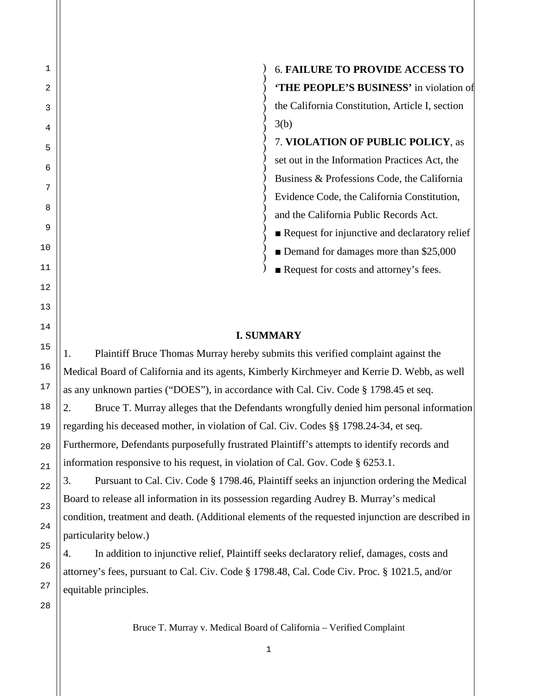) ) ) ) ) ) ) ) ) ) ) ) ) ) ) ) ) ) ) ) 6. **FAILURE TO PROVIDE ACCESS TO 'THE PEOPLE'S BUSINESS'** in violation of the California Constitution, Article I, section 3(b) 7. **VIOLATION OF PUBLIC POLICY**, as set out in the Information Practices Act, the Business & Professions Code, the California Evidence Code, the California Constitution, and the California Public Records Act. ■ Request for injunctive and declaratory relief ■ Demand for damages more than \$25,000

■ Request for costs and attorney's fees.

### **I. SUMMARY**

)

1. Plaintiff Bruce Thomas Murray hereby submits this verified complaint against the Medical Board of California and its agents, Kimberly Kirchmeyer and Kerrie D. Webb, as well as any unknown parties ("DOES"), in accordance with Cal. Civ. Code § 1798.45 et seq. 2. Bruce T. Murray alleges that the Defendants wrongfully denied him personal information regarding his deceased mother, in violation of Cal. Civ. Codes §§ 1798.24-34, et seq. Furthermore, Defendants purposefully frustrated Plaintiff's attempts to identify records and information responsive to his request, in violation of Cal. Gov. Code § 6253.1.

3. Pursuant to Cal. Civ. Code § 1798.46, Plaintiff seeks an injunction ordering the Medical Board to release all information in its possession regarding Audrey B. Murray's medical condition, treatment and death. (Additional elements of the requested injunction are described in particularity below.)

4. In addition to injunctive relief, Plaintiff seeks declaratory relief, damages, costs and attorney's fees, pursuant to Cal. Civ. Code § 1798.48, Cal. Code Civ. Proc. § 1021.5, and/or equitable principles.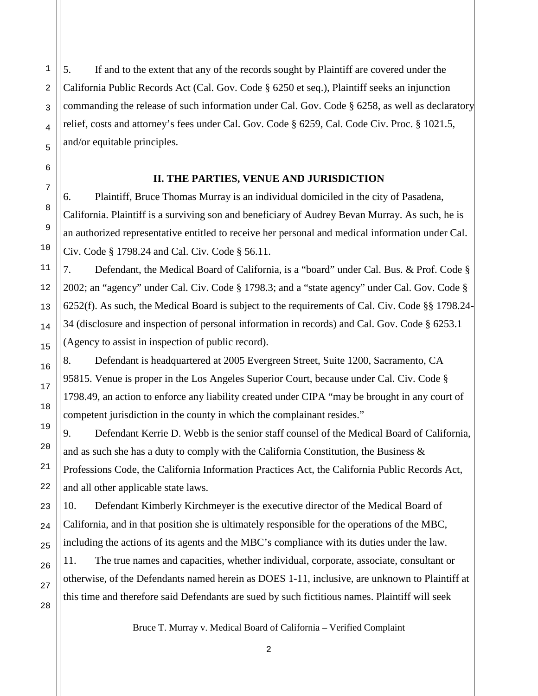5. If and to the extent that any of the records sought by Plaintiff are covered under the California Public Records Act (Cal. Gov. Code § 6250 et seq.), Plaintiff seeks an injunction commanding the release of such information under Cal. Gov. Code § 6258, as well as declaratory relief, costs and attorney's fees under Cal. Gov. Code § 6259, Cal. Code Civ. Proc. § 1021.5, and/or equitable principles.

#### **II. THE PARTIES, VENUE AND JURISDICTION**

6. Plaintiff, Bruce Thomas Murray is an individual domiciled in the city of Pasadena, California. Plaintiff is a surviving son and beneficiary of Audrey Bevan Murray. As such, he is an authorized representative entitled to receive her personal and medical information under Cal. Civ. Code § 1798.24 and Cal. Civ. Code § 56.11.

7. Defendant, the Medical Board of California, is a "board" under Cal. Bus. & Prof. Code § 2002; an "agency" under Cal. Civ. Code § 1798.3; and a "state agency" under Cal. Gov. Code § 6252(f). As such, the Medical Board is subject to the requirements of Cal. Civ. Code §§ 1798.24- 34 (disclosure and inspection of personal information in records) and Cal. Gov. Code § 6253.1 (Agency to assist in inspection of public record).

8. Defendant is headquartered at 2005 Evergreen Street, Suite 1200, Sacramento, CA 95815. Venue is proper in the Los Angeles Superior Court, because under Cal. Civ. Code § 1798.49, an action to enforce any liability created under CIPA "may be brought in any court of competent jurisdiction in the county in which the complainant resides."

9. Defendant Kerrie D. Webb is the senior staff counsel of the Medical Board of California, and as such she has a duty to comply with the California Constitution, the Business & Professions Code, the California Information Practices Act, the California Public Records Act, and all other applicable state laws.

10. Defendant Kimberly Kirchmeyer is the executive director of the Medical Board of California, and in that position she is ultimately responsible for the operations of the MBC, including the actions of its agents and the MBC's compliance with its duties under the law.

11. The true names and capacities, whether individual, corporate, associate, consultant or otherwise, of the Defendants named herein as DOES 1-11, inclusive, are unknown to Plaintiff at this time and therefore said Defendants are sued by such fictitious names. Plaintiff will seek

Bruce T. Murray v. Medical Board of California – Verified Complaint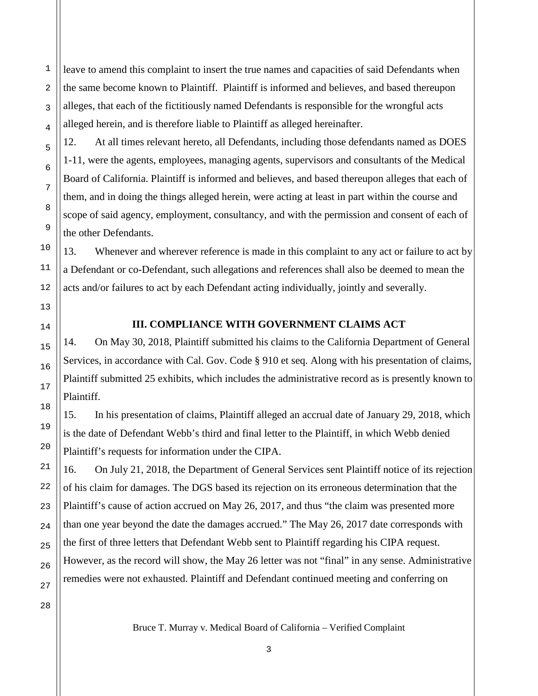leave to amend this complaint to insert the true names and capacities of said Defendants when the same become known to Plaintiff. Plaintiff is informed and believes, and based thereupon alleges, that each of the fictitiously named Defendants is responsible for the wrongful acts alleged herein, and is therefore liable to Plaintiff as alleged hereinafter.

12. At all times relevant hereto, all Defendants, including those defendants named as DOES 1-11, were the agents, employees, managing agents, supervisors and consultants of the Medical Board of California. Plaintiff is informed and believes, and based thereupon alleges that each of them, and in doing the things alleged herein, were acting at least in part within the course and scope of said agency, employment, consultancy, and with the permission and consent of each of the other Defendants.

13. Whenever and wherever reference is made in this complaint to any act or failure to act by a Defendant or co-Defendant, such allegations and references shall also be deemed to mean the acts and/or failures to act by each Defendant acting individually, jointly and severally.

1

2

3

4

5

6

7

8

9

10

11

12

13

14

15

16

17

18

19

20

21

22

23

24

25

26

#### **III. COMPLIANCE WITH GOVERNMENT CLAIMS ACT**

14. On May 30, 2018, Plaintiff submitted his claims to the California Department of General Services, in accordance with Cal. Gov. Code § 910 et seq. Along with his presentation of claims, Plaintiff submitted 25 exhibits, which includes the administrative record as is presently known to Plaintiff.

15. In his presentation of claims, Plaintiff alleged an accrual date of January 29, 2018, which is the date of Defendant Webb's third and final letter to the Plaintiff, in which Webb denied Plaintiff's requests for information under the CIPA.

16. On July 21, 2018, the Department of General Services sent Plaintiff notice of its rejection of his claim for damages. The DGS based its rejection on its erroneous determination that the Plaintiff's cause of action accrued on May 26, 2017, and thus "the claim was presented more than one year beyond the date the damages accrued." The May 26, 2017 date corresponds with the first of three letters that Defendant Webb sent to Plaintiff regarding his CIPA request. However, as the record will show, the May 26 letter was not "final" in any sense. Administrative remedies were not exhausted. Plaintiff and Defendant continued meeting and conferring on

27 28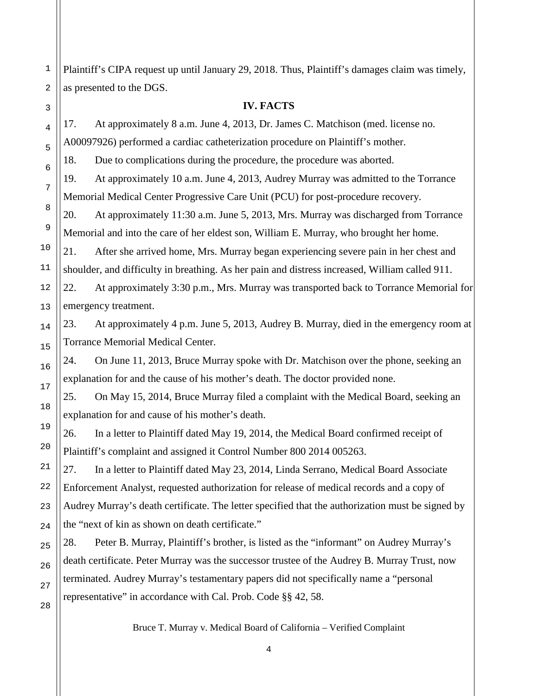Plaintiff's CIPA request up until January 29, 2018. Thus, Plaintiff's damages claim was timely, as presented to the DGS.

#### **IV. FACTS**

17. At approximately 8 a.m. June 4, 2013, Dr. James C. Matchison (med. license no. A00097926) performed a cardiac catheterization procedure on Plaintiff's mother.

18. Due to complications during the procedure, the procedure was aborted.

19. At approximately 10 a.m. June 4, 2013, Audrey Murray was admitted to the Torrance Memorial Medical Center Progressive Care Unit (PCU) for post-procedure recovery.

20. At approximately 11:30 a.m. June 5, 2013, Mrs. Murray was discharged from Torrance Memorial and into the care of her eldest son, William E. Murray, who brought her home.

21. After she arrived home, Mrs. Murray began experiencing severe pain in her chest and shoulder, and difficulty in breathing. As her pain and distress increased, William called 911.

22. At approximately 3:30 p.m., Mrs. Murray was transported back to Torrance Memorial for emergency treatment.

23. At approximately 4 p.m. June 5, 2013, Audrey B. Murray, died in the emergency room at Torrance Memorial Medical Center.

24. On June 11, 2013, Bruce Murray spoke with Dr. Matchison over the phone, seeking an explanation for and the cause of his mother's death. The doctor provided none.

25. On May 15, 2014, Bruce Murray filed a complaint with the Medical Board, seeking an explanation for and cause of his mother's death.

26. In a letter to Plaintiff dated May 19, 2014, the Medical Board confirmed receipt of Plaintiff's complaint and assigned it Control Number 800 2014 005263.

27. In a letter to Plaintiff dated May 23, 2014, Linda Serrano, Medical Board Associate Enforcement Analyst, requested authorization for release of medical records and a copy of Audrey Murray's death certificate. The letter specified that the authorization must be signed by the "next of kin as shown on death certificate."

28. Peter B. Murray, Plaintiff's brother, is listed as the "informant" on Audrey Murray's death certificate. Peter Murray was the successor trustee of the Audrey B. Murray Trust, now terminated. Audrey Murray's testamentary papers did not specifically name a "personal representative" in accordance with Cal. Prob. Code §§ 42, 58.

Bruce T. Murray v. Medical Board of California – Verified Complaint

1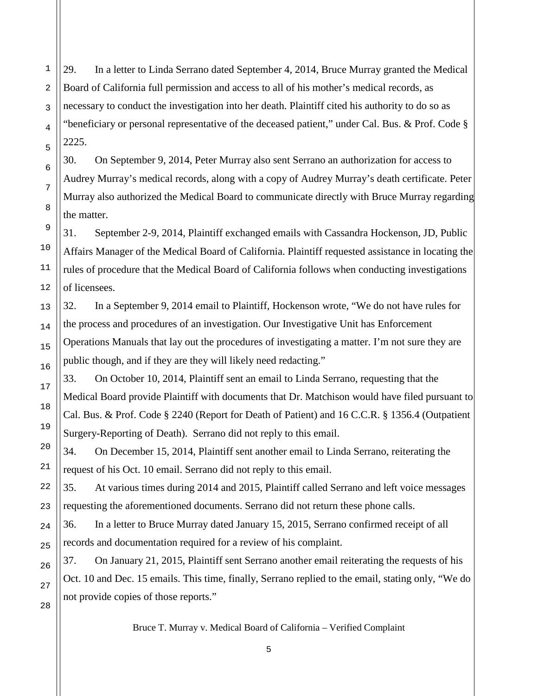29. In a letter to Linda Serrano dated September 4, 2014, Bruce Murray granted the Medical Board of California full permission and access to all of his mother's medical records, as necessary to conduct the investigation into her death. Plaintiff cited his authority to do so as "beneficiary or personal representative of the deceased patient," under Cal. Bus. & Prof. Code § 2225.

30. On September 9, 2014, Peter Murray also sent Serrano an authorization for access to Audrey Murray's medical records, along with a copy of Audrey Murray's death certificate. Peter Murray also authorized the Medical Board to communicate directly with Bruce Murray regarding the matter.

31. September 2-9, 2014, Plaintiff exchanged emails with Cassandra Hockenson, JD, Public Affairs Manager of the Medical Board of California. Plaintiff requested assistance in locating the rules of procedure that the Medical Board of California follows when conducting investigations of licensees.

32. In a September 9, 2014 email to Plaintiff, Hockenson wrote, "We do not have rules for the process and procedures of an investigation. Our Investigative Unit has Enforcement Operations Manuals that lay out the procedures of investigating a matter. I'm not sure they are public though, and if they are they will likely need redacting."

33. On October 10, 2014, Plaintiff sent an email to Linda Serrano, requesting that the Medical Board provide Plaintiff with documents that Dr. Matchison would have filed pursuant to Cal. Bus. & Prof. Code § 2240 (Report for Death of Patient) and 16 C.C.R. § 1356.4 (Outpatient Surgery-Reporting of Death). Serrano did not reply to this email.

34. On December 15, 2014, Plaintiff sent another email to Linda Serrano, reiterating the request of his Oct. 10 email. Serrano did not reply to this email.

35. At various times during 2014 and 2015, Plaintiff called Serrano and left voice messages requesting the aforementioned documents. Serrano did not return these phone calls.

36. In a letter to Bruce Murray dated January 15, 2015, Serrano confirmed receipt of all records and documentation required for a review of his complaint.

37. On January 21, 2015, Plaintiff sent Serrano another email reiterating the requests of his Oct. 10 and Dec. 15 emails. This time, finally, Serrano replied to the email, stating only, "We do not provide copies of those reports."

Bruce T. Murray v. Medical Board of California – Verified Complaint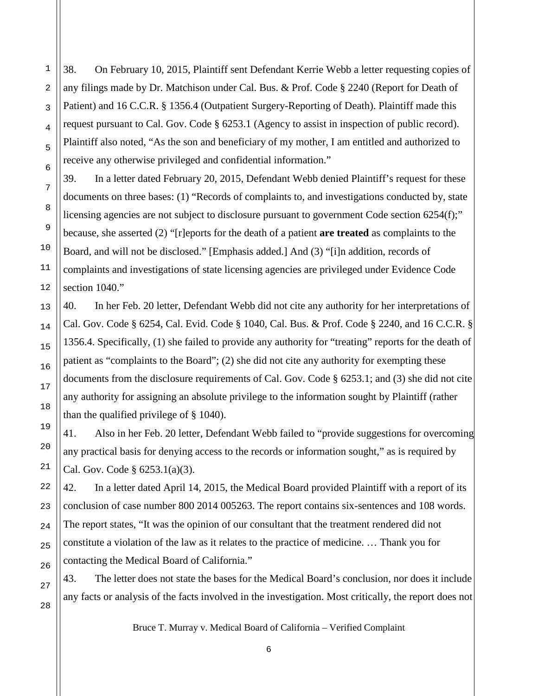38. On February 10, 2015, Plaintiff sent Defendant Kerrie Webb a letter requesting copies of any filings made by Dr. Matchison under Cal. Bus. & Prof. Code § 2240 (Report for Death of Patient) and 16 C.C.R. § 1356.4 (Outpatient Surgery-Reporting of Death). Plaintiff made this request pursuant to Cal. Gov. Code § 6253.1 (Agency to assist in inspection of public record). Plaintiff also noted, "As the son and beneficiary of my mother, I am entitled and authorized to receive any otherwise privileged and confidential information."

39. In a letter dated February 20, 2015, Defendant Webb denied Plaintiff's request for these documents on three bases: (1) "Records of complaints to, and investigations conducted by, state licensing agencies are not subject to disclosure pursuant to government Code section 6254(f);" because, she asserted (2) "[r]eports for the death of a patient **are treated** as complaints to the Board, and will not be disclosed." [Emphasis added.] And (3) "[i]n addition, records of complaints and investigations of state licensing agencies are privileged under Evidence Code section 1040."

40. In her Feb. 20 letter, Defendant Webb did not cite any authority for her interpretations of Cal. Gov. Code § 6254, Cal. Evid. Code § 1040, Cal. Bus. & Prof. Code § 2240, and 16 C.C.R. § 1356.4. Specifically, (1) she failed to provide any authority for "treating" reports for the death of patient as "complaints to the Board"; (2) she did not cite any authority for exempting these documents from the disclosure requirements of Cal. Gov. Code § 6253.1; and (3) she did not cite any authority for assigning an absolute privilege to the information sought by Plaintiff (rather than the qualified privilege of § 1040).

41. Also in her Feb. 20 letter, Defendant Webb failed to "provide suggestions for overcoming any practical basis for denying access to the records or information sought," as is required by Cal. Gov. Code § 6253.1(a)(3).

42. In a letter dated April 14, 2015, the Medical Board provided Plaintiff with a report of its conclusion of case number 800 2014 005263. The report contains six-sentences and 108 words. The report states, "It was the opinion of our consultant that the treatment rendered did not constitute a violation of the law as it relates to the practice of medicine. … Thank you for contacting the Medical Board of California."

43. The letter does not state the bases for the Medical Board's conclusion, nor does it include any facts or analysis of the facts involved in the investigation. Most critically, the report does not

Bruce T. Murray v. Medical Board of California – Verified Complaint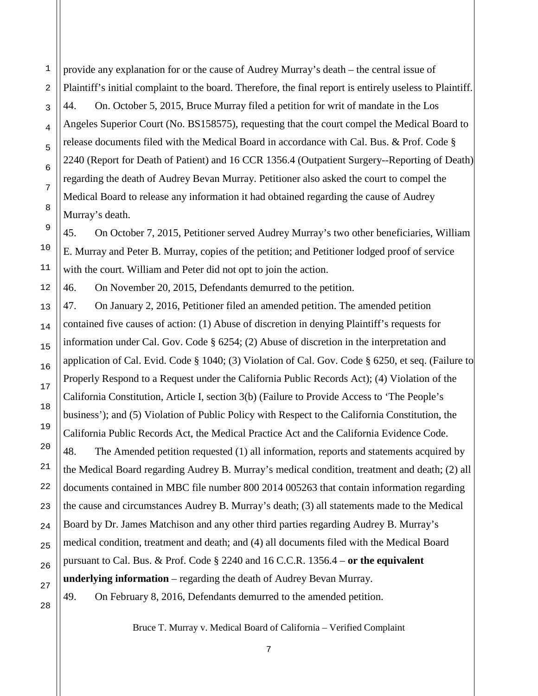provide any explanation for or the cause of Audrey Murray's death – the central issue of Plaintiff's initial complaint to the board. Therefore, the final report is entirely useless to Plaintiff. 44. On. October 5, 2015, Bruce Murray filed a petition for writ of mandate in the Los Angeles Superior Court (No. BS158575), requesting that the court compel the Medical Board to release documents filed with the Medical Board in accordance with Cal. Bus. & Prof. Code § 2240 (Report for Death of Patient) and 16 CCR 1356.4 (Outpatient Surgery--Reporting of Death) regarding the death of Audrey Bevan Murray. Petitioner also asked the court to compel the Medical Board to release any information it had obtained regarding the cause of Audrey Murray's death.

45. On October 7, 2015, Petitioner served Audrey Murray's two other beneficiaries, William E. Murray and Peter B. Murray, copies of the petition; and Petitioner lodged proof of service with the court. William and Peter did not opt to join the action.

46. On November 20, 2015, Defendants demurred to the petition.

47. On January 2, 2016, Petitioner filed an amended petition. The amended petition contained five causes of action: (1) Abuse of discretion in denying Plaintiff's requests for information under Cal. Gov. Code § 6254; (2) Abuse of discretion in the interpretation and application of Cal. Evid. Code § 1040; (3) Violation of Cal. Gov. Code § 6250, et seq. (Failure to Properly Respond to a Request under the California Public Records Act); (4) Violation of the California Constitution, Article I, section 3(b) (Failure to Provide Access to 'The People's business'); and (5) Violation of Public Policy with Respect to the California Constitution, the California Public Records Act, the Medical Practice Act and the California Evidence Code.

48. The Amended petition requested (1) all information, reports and statements acquired by the Medical Board regarding Audrey B. Murray's medical condition, treatment and death; (2) all documents contained in MBC file number 800 2014 005263 that contain information regarding the cause and circumstances Audrey B. Murray's death; (3) all statements made to the Medical Board by Dr. James Matchison and any other third parties regarding Audrey B. Murray's medical condition, treatment and death; and (4) all documents filed with the Medical Board pursuant to Cal. Bus. & Prof. Code § 2240 and 16 C.C.R. 1356.4 – **or the equivalent underlying information** – regarding the death of Audrey Bevan Murray.

1

2

3

4

5

6

7

8

9

10

11

12

13

14

15

16

17

18

19

20

21

22

23

24

25

26

49. On February 8, 2016, Defendants demurred to the amended petition.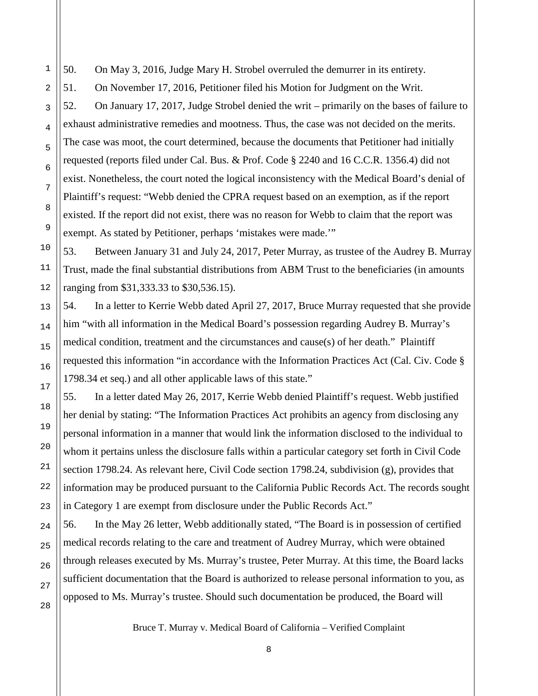50. On May 3, 2016, Judge Mary H. Strobel overruled the demurrer in its entirety.

51. On November 17, 2016, Petitioner filed his Motion for Judgment on the Writ.

52. On January 17, 2017, Judge Strobel denied the writ – primarily on the bases of failure to exhaust administrative remedies and mootness. Thus, the case was not decided on the merits. The case was moot, the court determined, because the documents that Petitioner had initially requested (reports filed under Cal. Bus. & Prof. Code § 2240 and 16 C.C.R. 1356.4) did not exist. Nonetheless, the court noted the logical inconsistency with the Medical Board's denial of Plaintiff's request: "Webb denied the CPRA request based on an exemption, as if the report existed. If the report did not exist, there was no reason for Webb to claim that the report was exempt. As stated by Petitioner, perhaps 'mistakes were made.'"

53. Between January 31 and July 24, 2017, Peter Murray, as trustee of the Audrey B. Murray Trust, made the final substantial distributions from ABM Trust to the beneficiaries (in amounts ranging from \$31,333.33 to \$30,536.15).

54. In a letter to Kerrie Webb dated April 27, 2017, Bruce Murray requested that she provide him "with all information in the Medical Board's possession regarding Audrey B. Murray's medical condition, treatment and the circumstances and cause(s) of her death." Plaintiff requested this information "in accordance with the Information Practices Act (Cal. Civ. Code § 1798.34 et seq.) and all other applicable laws of this state."

55. In a letter dated May 26, 2017, Kerrie Webb denied Plaintiff's request. Webb justified her denial by stating: "The Information Practices Act prohibits an agency from disclosing any personal information in a manner that would link the information disclosed to the individual to whom it pertains unless the disclosure falls within a particular category set forth in Civil Code section 1798.24. As relevant here, Civil Code section 1798.24, subdivision (g), provides that information may be produced pursuant to the California Public Records Act. The records sought in Category 1 are exempt from disclosure under the Public Records Act."

56. In the May 26 letter, Webb additionally stated, "The Board is in possession of certified medical records relating to the care and treatment of Audrey Murray, which were obtained through releases executed by Ms. Murray's trustee, Peter Murray. At this time, the Board lacks sufficient documentation that the Board is authorized to release personal information to you, as opposed to Ms. Murray's trustee. Should such documentation be produced, the Board will

Bruce T. Murray v. Medical Board of California – Verified Complaint

8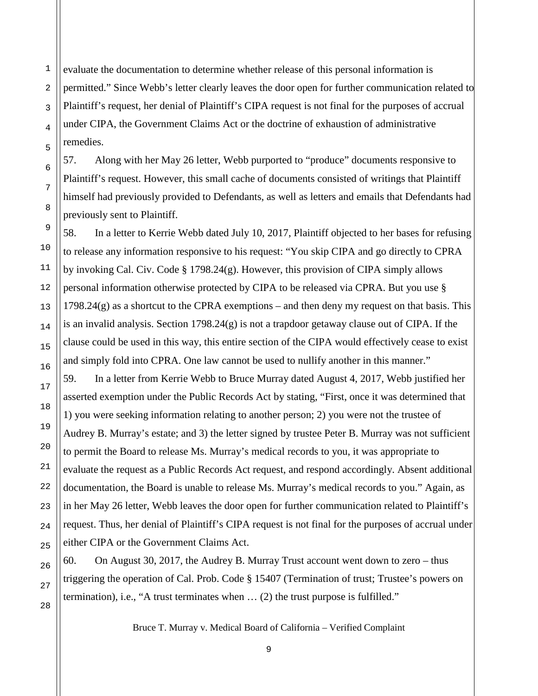evaluate the documentation to determine whether release of this personal information is permitted." Since Webb's letter clearly leaves the door open for further communication related to Plaintiff's request, her denial of Plaintiff's CIPA request is not final for the purposes of accrual under CIPA, the Government Claims Act or the doctrine of exhaustion of administrative remedies.

57. Along with her May 26 letter, Webb purported to "produce" documents responsive to Plaintiff's request. However, this small cache of documents consisted of writings that Plaintiff himself had previously provided to Defendants, as well as letters and emails that Defendants had previously sent to Plaintiff.

58. In a letter to Kerrie Webb dated July 10, 2017, Plaintiff objected to her bases for refusing to release any information responsive to his request: "You skip CIPA and go directly to CPRA by invoking Cal. Civ. Code § 1798.24(g). However, this provision of CIPA simply allows personal information otherwise protected by CIPA to be released via CPRA. But you use §  $1798.24(g)$  as a shortcut to the CPRA exemptions – and then deny my request on that basis. This is an invalid analysis. Section 1798.24(g) is not a trapdoor getaway clause out of CIPA. If the clause could be used in this way, this entire section of the CIPA would effectively cease to exist and simply fold into CPRA. One law cannot be used to nullify another in this manner."

59. In a letter from Kerrie Webb to Bruce Murray dated August 4, 2017, Webb justified her asserted exemption under the Public Records Act by stating, "First, once it was determined that 1) you were seeking information relating to another person; 2) you were not the trustee of Audrey B. Murray's estate; and 3) the letter signed by trustee Peter B. Murray was not sufficient to permit the Board to release Ms. Murray's medical records to you, it was appropriate to evaluate the request as a Public Records Act request, and respond accordingly. Absent additional documentation, the Board is unable to release Ms. Murray's medical records to you." Again, as in her May 26 letter, Webb leaves the door open for further communication related to Plaintiff's request. Thus, her denial of Plaintiff's CIPA request is not final for the purposes of accrual under either CIPA or the Government Claims Act.

60. On August 30, 2017, the Audrey B. Murray Trust account went down to zero – thus triggering the operation of Cal. Prob. Code § 15407 (Termination of trust; Trustee's powers on termination), i.e., "A trust terminates when … (2) the trust purpose is fulfilled."

Bruce T. Murray v. Medical Board of California – Verified Complaint

1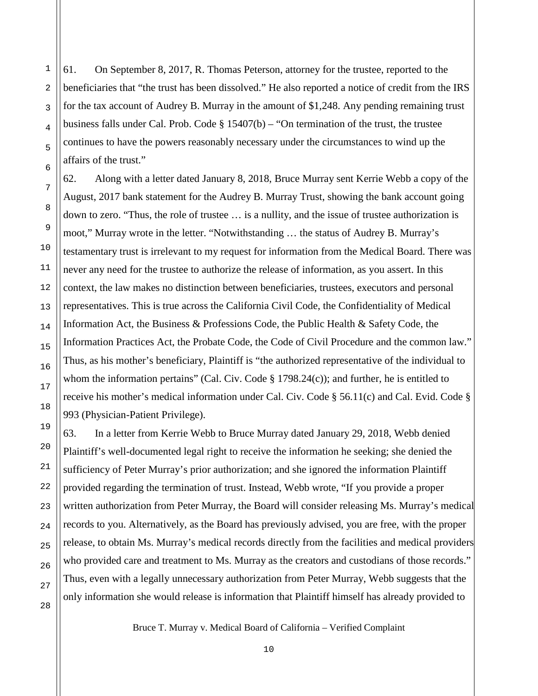61. On September 8, 2017, R. Thomas Peterson, attorney for the trustee, reported to the beneficiaries that "the trust has been dissolved." He also reported a notice of credit from the IRS for the tax account of Audrey B. Murray in the amount of \$1,248. Any pending remaining trust business falls under Cal. Prob. Code  $\S$  15407(b) – "On termination of the trust, the trustee continues to have the powers reasonably necessary under the circumstances to wind up the affairs of the trust."

62. Along with a letter dated January 8, 2018, Bruce Murray sent Kerrie Webb a copy of the August, 2017 bank statement for the Audrey B. Murray Trust, showing the bank account going down to zero. "Thus, the role of trustee … is a nullity, and the issue of trustee authorization is moot," Murray wrote in the letter. "Notwithstanding … the status of Audrey B. Murray's testamentary trust is irrelevant to my request for information from the Medical Board. There was never any need for the trustee to authorize the release of information, as you assert. In this context, the law makes no distinction between beneficiaries, trustees, executors and personal representatives. This is true across the California Civil Code, the Confidentiality of Medical Information Act, the Business & Professions Code, the Public Health & Safety Code, the Information Practices Act, the Probate Code, the Code of Civil Procedure and the common law." Thus, as his mother's beneficiary, Plaintiff is "the authorized representative of the individual to whom the information pertains" (Cal. Civ. Code  $\S$  1798.24(c)); and further, he is entitled to receive his mother's medical information under Cal. Civ. Code § 56.11(c) and Cal. Evid. Code § 993 (Physician-Patient Privilege).

63. In a letter from Kerrie Webb to Bruce Murray dated January 29, 2018, Webb denied Plaintiff's well-documented legal right to receive the information he seeking; she denied the sufficiency of Peter Murray's prior authorization; and she ignored the information Plaintiff provided regarding the termination of trust. Instead, Webb wrote, "If you provide a proper written authorization from Peter Murray, the Board will consider releasing Ms. Murray's medical records to you. Alternatively, as the Board has previously advised, you are free, with the proper release, to obtain Ms. Murray's medical records directly from the facilities and medical providers who provided care and treatment to Ms. Murray as the creators and custodians of those records." Thus, even with a legally unnecessary authorization from Peter Murray, Webb suggests that the only information she would release is information that Plaintiff himself has already provided to

Bruce T. Murray v. Medical Board of California – Verified Complaint

1

2

3

4

5

6

7

8

9

10

11

12

13

14

15

16

17

18

19

20

21

22

23

24

25

26

27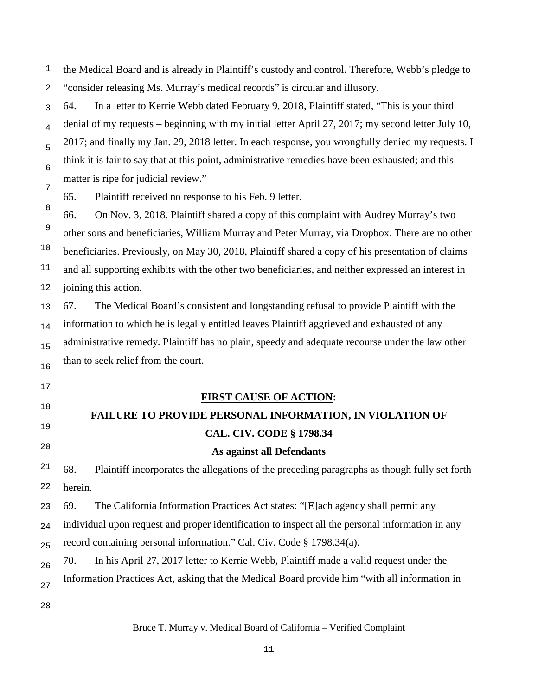the Medical Board and is already in Plaintiff's custody and control. Therefore, Webb's pledge to "consider releasing Ms. Murray's medical records" is circular and illusory.

64. In a letter to Kerrie Webb dated February 9, 2018, Plaintiff stated, "This is your third denial of my requests – beginning with my initial letter April 27, 2017; my second letter July 10, 2017; and finally my Jan. 29, 2018 letter. In each response, you wrongfully denied my requests. I think it is fair to say that at this point, administrative remedies have been exhausted; and this matter is ripe for judicial review."

65. Plaintiff received no response to his Feb. 9 letter.

66. On Nov. 3, 2018, Plaintiff shared a copy of this complaint with Audrey Murray's two other sons and beneficiaries, William Murray and Peter Murray, via Dropbox. There are no other beneficiaries. Previously, on May 30, 2018, Plaintiff shared a copy of his presentation of claims and all supporting exhibits with the other two beneficiaries, and neither expressed an interest in joining this action.

67. The Medical Board's consistent and longstanding refusal to provide Plaintiff with the information to which he is legally entitled leaves Plaintiff aggrieved and exhausted of any administrative remedy. Plaintiff has no plain, speedy and adequate recourse under the law other than to seek relief from the court.

### **FIRST CAUSE OF ACTION:**

### **FAILURE TO PROVIDE PERSONAL INFORMATION, IN VIOLATION OF**

### **CAL. CIV. CODE § 1798.34**

### **As against all Defendants**

68. Plaintiff incorporates the allegations of the preceding paragraphs as though fully set forth herein.

69. The California Information Practices Act states: "[E]ach agency shall permit any individual upon request and proper identification to inspect all the personal information in any record containing personal information." Cal. Civ. Code § 1798.34(a).

70. In his April 27, 2017 letter to Kerrie Webb, Plaintiff made a valid request under the Information Practices Act, asking that the Medical Board provide him "with all information in

27 28

1

2

3

4

5

6

7

8

9

10

11

12

13

14

15

16

17

18

19

20

21

22

23

24

25

26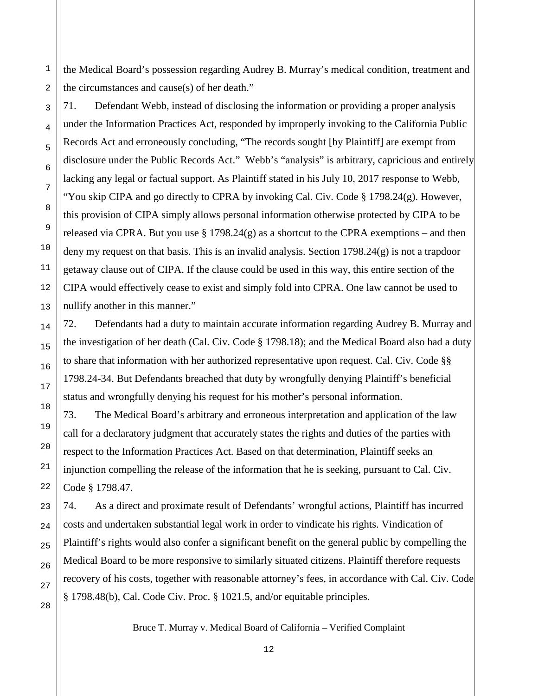the Medical Board's possession regarding Audrey B. Murray's medical condition, treatment and the circumstances and cause(s) of her death."

71. Defendant Webb, instead of disclosing the information or providing a proper analysis under the Information Practices Act, responded by improperly invoking to the California Public Records Act and erroneously concluding, "The records sought [by Plaintiff] are exempt from disclosure under the Public Records Act." Webb's "analysis" is arbitrary, capricious and entirely lacking any legal or factual support. As Plaintiff stated in his July 10, 2017 response to Webb, "You skip CIPA and go directly to CPRA by invoking Cal. Civ. Code  $\S 1798.24(g)$ . However, this provision of CIPA simply allows personal information otherwise protected by CIPA to be released via CPRA. But you use  $\S 1798.24(g)$  as a shortcut to the CPRA exemptions – and then deny my request on that basis. This is an invalid analysis. Section 1798.24(g) is not a trapdoor getaway clause out of CIPA. If the clause could be used in this way, this entire section of the CIPA would effectively cease to exist and simply fold into CPRA. One law cannot be used to nullify another in this manner."

72. Defendants had a duty to maintain accurate information regarding Audrey B. Murray and the investigation of her death (Cal. Civ. Code § 1798.18); and the Medical Board also had a duty to share that information with her authorized representative upon request. Cal. Civ. Code §§ 1798.24-34. But Defendants breached that duty by wrongfully denying Plaintiff's beneficial status and wrongfully denying his request for his mother's personal information.

73. The Medical Board's arbitrary and erroneous interpretation and application of the law call for a declaratory judgment that accurately states the rights and duties of the parties with respect to the Information Practices Act. Based on that determination, Plaintiff seeks an injunction compelling the release of the information that he is seeking, pursuant to Cal. Civ. Code § 1798.47.

74. As a direct and proximate result of Defendants' wrongful actions, Plaintiff has incurred costs and undertaken substantial legal work in order to vindicate his rights. Vindication of Plaintiff's rights would also confer a significant benefit on the general public by compelling the Medical Board to be more responsive to similarly situated citizens. Plaintiff therefore requests recovery of his costs, together with reasonable attorney's fees, in accordance with Cal. Civ. Code § 1798.48(b), Cal. Code Civ. Proc. § 1021.5, and/or equitable principles.

Bruce T. Murray v. Medical Board of California – Verified Complaint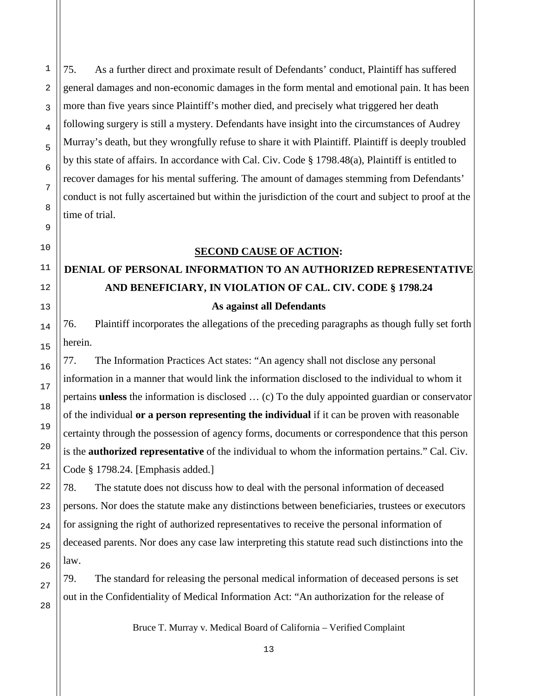75. As a further direct and proximate result of Defendants' conduct, Plaintiff has suffered general damages and non-economic damages in the form mental and emotional pain. It has been more than five years since Plaintiff's mother died, and precisely what triggered her death following surgery is still a mystery. Defendants have insight into the circumstances of Audrey Murray's death, but they wrongfully refuse to share it with Plaintiff. Plaintiff is deeply troubled by this state of affairs. In accordance with Cal. Civ. Code § 1798.48(a), Plaintiff is entitled to recover damages for his mental suffering. The amount of damages stemming from Defendants' conduct is not fully ascertained but within the jurisdiction of the court and subject to proof at the time of trial.

### **SECOND CAUSE OF ACTION:**

# **DENIAL OF PERSONAL INFORMATION TO AN AUTHORIZED REPRESENTATIVE AND BENEFICIARY, IN VIOLATION OF CAL. CIV. CODE § 1798.24 As against all Defendants**

76. Plaintiff incorporates the allegations of the preceding paragraphs as though fully set forth herein.

77. The Information Practices Act states: "An agency shall not disclose any personal information in a manner that would link the information disclosed to the individual to whom it pertains **unless** the information is disclosed … (c) To the duly appointed guardian or conservator of the individual **or a person representing the individual** if it can be proven with reasonable certainty through the possession of agency forms, documents or correspondence that this person is the **authorized representative** of the individual to whom the information pertains." Cal. Civ. Code § 1798.24. [Emphasis added.]

78. The statute does not discuss how to deal with the personal information of deceased persons. Nor does the statute make any distinctions between beneficiaries, trustees or executors for assigning the right of authorized representatives to receive the personal information of deceased parents. Nor does any case law interpreting this statute read such distinctions into the law.

79. The standard for releasing the personal medical information of deceased persons is set out in the Confidentiality of Medical Information Act: "An authorization for the release of

Bruce T. Murray v. Medical Board of California – Verified Complaint

1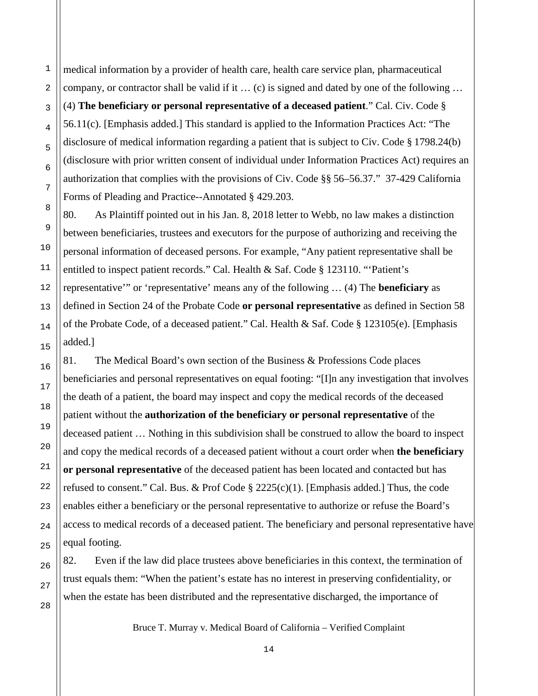medical information by a provider of health care, health care service plan, pharmaceutical company, or contractor shall be valid if it  $\dots$  (c) is signed and dated by one of the following  $\dots$ (4) **The beneficiary or personal representative of a deceased patient**." Cal. Civ. Code § 56.11(c). [Emphasis added.] This standard is applied to the Information Practices Act: "The disclosure of medical information regarding a patient that is subject to Civ. Code § 1798.24(b) (disclosure with prior written consent of individual under Information Practices Act) requires an authorization that complies with the provisions of Civ. Code §§ 56–56.37." 37-429 California Forms of Pleading and Practice--Annotated § 429.203.

80. As Plaintiff pointed out in his Jan. 8, 2018 letter to Webb, no law makes a distinction between beneficiaries, trustees and executors for the purpose of authorizing and receiving the personal information of deceased persons. For example, "Any patient representative shall be entitled to inspect patient records." Cal. Health & Saf. Code § 123110. "'Patient's representative'" or 'representative' means any of the following … (4) The **beneficiary** as defined in Section 24 of the Probate Code **or personal representative** as defined in Section 58 of the Probate Code, of a deceased patient." Cal. Health & Saf. Code § 123105(e). [Emphasis added.]

81. The Medical Board's own section of the Business & Professions Code places beneficiaries and personal representatives on equal footing: "[I]n any investigation that involves the death of a patient, the board may inspect and copy the medical records of the deceased patient without the **authorization of the beneficiary or personal representative** of the deceased patient … Nothing in this subdivision shall be construed to allow the board to inspect and copy the medical records of a deceased patient without a court order when **the beneficiary or personal representative** of the deceased patient has been located and contacted but has refused to consent." Cal. Bus. & Prof Code § 2225(c)(1). [Emphasis added.] Thus, the code enables either a beneficiary or the personal representative to authorize or refuse the Board's access to medical records of a deceased patient. The beneficiary and personal representative have equal footing.

82. Even if the law did place trustees above beneficiaries in this context, the termination of trust equals them: "When the patient's estate has no interest in preserving confidentiality, or when the estate has been distributed and the representative discharged, the importance of

Bruce T. Murray v. Medical Board of California – Verified Complaint

1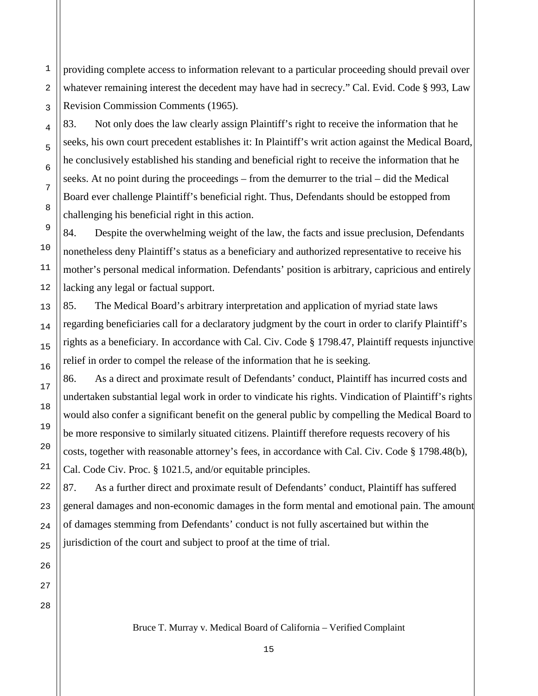providing complete access to information relevant to a particular proceeding should prevail over whatever remaining interest the decedent may have had in secrecy." Cal. Evid. Code § 993, Law Revision Commission Comments (1965).

83. Not only does the law clearly assign Plaintiff's right to receive the information that he seeks, his own court precedent establishes it: In Plaintiff's writ action against the Medical Board, he conclusively established his standing and beneficial right to receive the information that he seeks. At no point during the proceedings – from the demurrer to the trial – did the Medical Board ever challenge Plaintiff's beneficial right. Thus, Defendants should be estopped from challenging his beneficial right in this action.

84. Despite the overwhelming weight of the law, the facts and issue preclusion, Defendants nonetheless deny Plaintiff's status as a beneficiary and authorized representative to receive his mother's personal medical information. Defendants' position is arbitrary, capricious and entirely lacking any legal or factual support.

85. The Medical Board's arbitrary interpretation and application of myriad state laws regarding beneficiaries call for a declaratory judgment by the court in order to clarify Plaintiff's rights as a beneficiary. In accordance with Cal. Civ. Code § 1798.47, Plaintiff requests injunctive relief in order to compel the release of the information that he is seeking.

86. As a direct and proximate result of Defendants' conduct, Plaintiff has incurred costs and undertaken substantial legal work in order to vindicate his rights. Vindication of Plaintiff's rights would also confer a significant benefit on the general public by compelling the Medical Board to be more responsive to similarly situated citizens. Plaintiff therefore requests recovery of his costs, together with reasonable attorney's fees, in accordance with Cal. Civ. Code § 1798.48(b), Cal. Code Civ. Proc. § 1021.5, and/or equitable principles.

87. As a further direct and proximate result of Defendants' conduct, Plaintiff has suffered general damages and non-economic damages in the form mental and emotional pain. The amount of damages stemming from Defendants' conduct is not fully ascertained but within the jurisdiction of the court and subject to proof at the time of trial.

27 28

1

2

3

4

5

6

7

8

9

10

11

12

13

14

15

16

17

18

19

20

21

22

23

24

25

26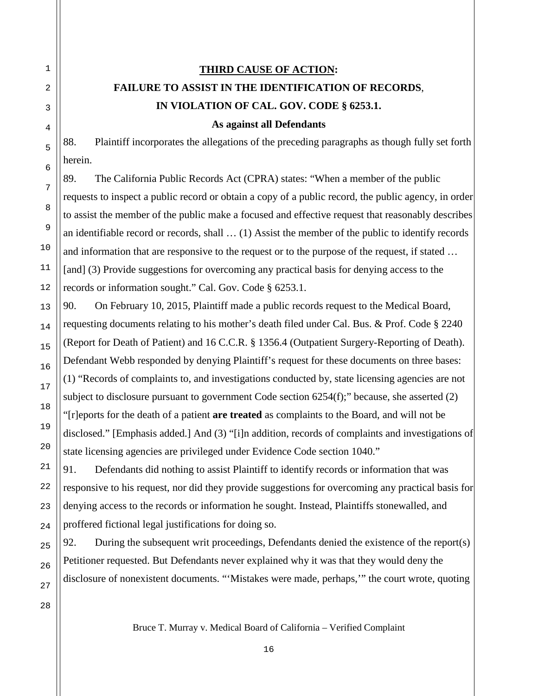# **THIRD CAUSE OF ACTION: FAILURE TO ASSIST IN THE IDENTIFICATION OF RECORDS**, **IN VIOLATION OF CAL. GOV. CODE § 6253.1.**

**As against all Defendants**

88. Plaintiff incorporates the allegations of the preceding paragraphs as though fully set forth herein.

89. The California Public Records Act (CPRA) states: "When a member of the public requests to inspect a public record or obtain a copy of a public record, the public agency, in order to assist the member of the public make a focused and effective request that reasonably describes an identifiable record or records, shall … (1) Assist the member of the public to identify records and information that are responsive to the request or to the purpose of the request, if stated … [and] (3) Provide suggestions for overcoming any practical basis for denying access to the records or information sought." Cal. Gov. Code § 6253.1.

90. On February 10, 2015, Plaintiff made a public records request to the Medical Board, requesting documents relating to his mother's death filed under Cal. Bus. & Prof. Code § 2240 (Report for Death of Patient) and 16 C.C.R. § 1356.4 (Outpatient Surgery-Reporting of Death). Defendant Webb responded by denying Plaintiff's request for these documents on three bases: (1) "Records of complaints to, and investigations conducted by, state licensing agencies are not subject to disclosure pursuant to government Code section 6254(f);" because, she asserted (2) "[r]eports for the death of a patient **are treated** as complaints to the Board, and will not be disclosed." [Emphasis added.] And (3) "[i]n addition, records of complaints and investigations of state licensing agencies are privileged under Evidence Code section 1040."

91. Defendants did nothing to assist Plaintiff to identify records or information that was responsive to his request, nor did they provide suggestions for overcoming any practical basis for denying access to the records or information he sought. Instead, Plaintiffs stonewalled, and proffered fictional legal justifications for doing so.

92. During the subsequent writ proceedings, Defendants denied the existence of the report(s) Petitioner requested. But Defendants never explained why it was that they would deny the disclosure of nonexistent documents. "'Mistakes were made, perhaps,'" the court wrote, quoting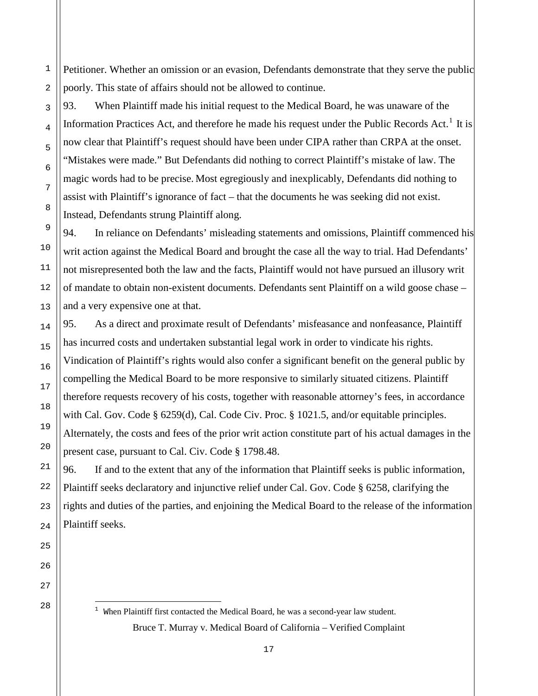Petitioner. Whether an omission or an evasion, Defendants demonstrate that they serve the public poorly. This state of affairs should not be allowed to continue.

93. When Plaintiff made his initial request to the Medical Board, he was unaware of the Information Practices Act, and therefore he made his request under the Public Records Act.<sup>[1](#page-17-0)</sup> It is now clear that Plaintiff's request should have been under CIPA rather than CRPA at the onset. "Mistakes were made." But Defendants did nothing to correct Plaintiff's mistake of law. The magic words had to be precise. Most egregiously and inexplicably, Defendants did nothing to assist with Plaintiff's ignorance of fact – that the documents he was seeking did not exist. Instead, Defendants strung Plaintiff along.

94. In reliance on Defendants' misleading statements and omissions, Plaintiff commenced his writ action against the Medical Board and brought the case all the way to trial. Had Defendants' not misrepresented both the law and the facts, Plaintiff would not have pursued an illusory writ of mandate to obtain non-existent documents. Defendants sent Plaintiff on a wild goose chase – and a very expensive one at that.

95. As a direct and proximate result of Defendants' misfeasance and nonfeasance, Plaintiff has incurred costs and undertaken substantial legal work in order to vindicate his rights. Vindication of Plaintiff's rights would also confer a significant benefit on the general public by compelling the Medical Board to be more responsive to similarly situated citizens. Plaintiff therefore requests recovery of his costs, together with reasonable attorney's fees, in accordance with Cal. Gov. Code § 6259(d), Cal. Code Civ. Proc. § 1021.5, and/or equitable principles. Alternately, the costs and fees of the prior writ action constitute part of his actual damages in the present case, pursuant to Cal. Civ. Code § 1798.48.

96. If and to the extent that any of the information that Plaintiff seeks is public information, Plaintiff seeks declaratory and injunctive relief under Cal. Gov. Code § 6258, clarifying the rights and duties of the parties, and enjoining the Medical Board to the release of the information Plaintiff seeks.

<span id="page-17-0"></span>27 28

1

2

3

4

5

6

7

8

9

10

11

12

13

14

15

16

17

18

19

20

21

22

23

24

25

Bruce T. Murray v. Medical Board of California – Verified Complaint ł <sup>1</sup> When Plaintiff first contacted the Medical Board, he was a second-year law student.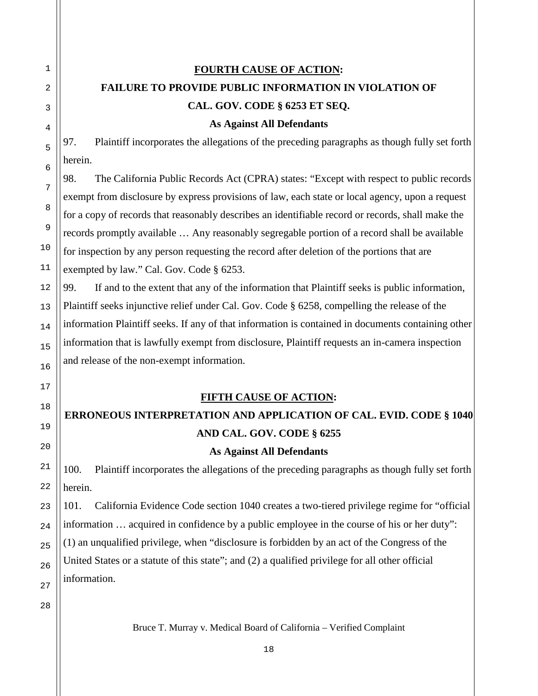# **FOURTH CAUSE OF ACTION: FAILURE TO PROVIDE PUBLIC INFORMATION IN VIOLATION OF CAL. GOV. CODE § 6253 ET SEQ.**

**As Against All Defendants**

97. Plaintiff incorporates the allegations of the preceding paragraphs as though fully set forth herein.

98. The California Public Records Act (CPRA) states: "Except with respect to public records exempt from disclosure by express provisions of law, each state or local agency, upon a request for a copy of records that reasonably describes an identifiable record or records, shall make the records promptly available … Any reasonably segregable portion of a record shall be available for inspection by any person requesting the record after deletion of the portions that are exempted by law." Cal. Gov. Code § 6253.

99. If and to the extent that any of the information that Plaintiff seeks is public information, Plaintiff seeks injunctive relief under Cal. Gov. Code § 6258, compelling the release of the information Plaintiff seeks. If any of that information is contained in documents containing other information that is lawfully exempt from disclosure, Plaintiff requests an in-camera inspection and release of the non-exempt information.

### **FIFTH CAUSE OF ACTION:**

### **ERRONEOUS INTERPRETATION AND APPLICATION OF CAL. EVID. CODE § 1040 AND CAL. GOV. CODE § 6255**

### **As Against All Defendants**

100. Plaintiff incorporates the allegations of the preceding paragraphs as though fully set forth herein.

101. California Evidence Code section 1040 creates a two-tiered privilege regime for "official information … acquired in confidence by a public employee in the course of his or her duty": (1) an unqualified privilege, when "disclosure is forbidden by an act of the Congress of the United States or a statute of this state"; and (2) a qualified privilege for all other official information.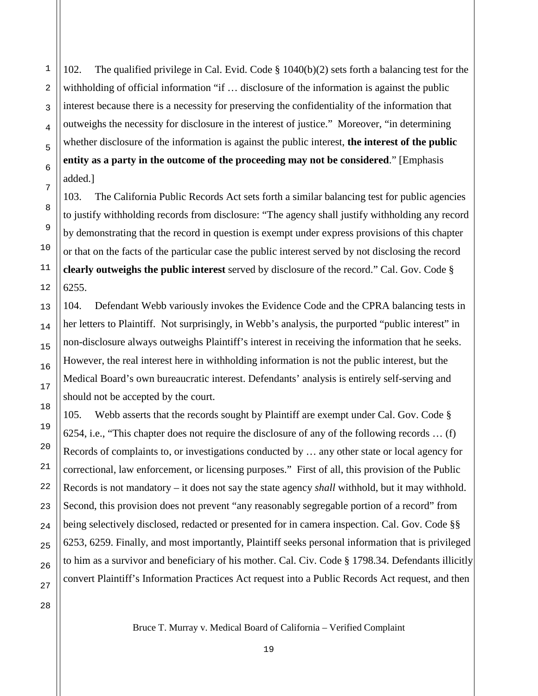102. The qualified privilege in Cal. Evid. Code § 1040(b)(2) sets forth a balancing test for the withholding of official information "if … disclosure of the information is against the public interest because there is a necessity for preserving the confidentiality of the information that outweighs the necessity for disclosure in the interest of justice." Moreover, "in determining whether disclosure of the information is against the public interest, **the interest of the public entity as a party in the outcome of the proceeding may not be considered**." [Emphasis added.]

103. The California Public Records Act sets forth a similar balancing test for public agencies to justify withholding records from disclosure: "The agency shall justify withholding any record by demonstrating that the record in question is exempt under express provisions of this chapter or that on the facts of the particular case the public interest served by not disclosing the record **clearly outweighs the public interest** served by disclosure of the record." Cal. Gov. Code § 6255.

104. Defendant Webb variously invokes the Evidence Code and the CPRA balancing tests in her letters to Plaintiff. Not surprisingly, in Webb's analysis, the purported "public interest" in non-disclosure always outweighs Plaintiff's interest in receiving the information that he seeks. However, the real interest here in withholding information is not the public interest, but the Medical Board's own bureaucratic interest. Defendants' analysis is entirely self-serving and should not be accepted by the court.

105. Webb asserts that the records sought by Plaintiff are exempt under Cal. Gov. Code § 6254, i.e., "This chapter does not require the disclosure of any of the following records … (f) Records of complaints to, or investigations conducted by … any other state or local agency for correctional, law enforcement, or licensing purposes." First of all, this provision of the Public Records is not mandatory – it does not say the state agency *shall* withhold, but it may withhold. Second, this provision does not prevent "any reasonably segregable portion of a record" from being selectively disclosed, redacted or presented for in camera inspection. Cal. Gov. Code §§ 6253, 6259. Finally, and most importantly, Plaintiff seeks personal information that is privileged to him as a survivor and beneficiary of his mother. Cal. Civ. Code § 1798.34. Defendants illicitly convert Plaintiff's Information Practices Act request into a Public Records Act request, and then

27 28

1

2

3

4

5

6

7

8

9

10

11

12

13

14

15

16

17

18

19

20

21

22

23

24

25

26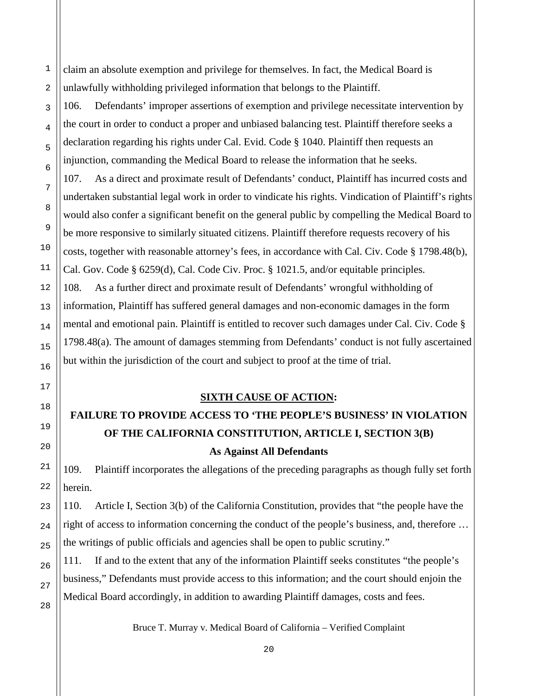claim an absolute exemption and privilege for themselves. In fact, the Medical Board is unlawfully withholding privileged information that belongs to the Plaintiff.

106. Defendants' improper assertions of exemption and privilege necessitate intervention by the court in order to conduct a proper and unbiased balancing test. Plaintiff therefore seeks a declaration regarding his rights under Cal. Evid. Code § 1040. Plaintiff then requests an injunction, commanding the Medical Board to release the information that he seeks.

107. As a direct and proximate result of Defendants' conduct, Plaintiff has incurred costs and undertaken substantial legal work in order to vindicate his rights. Vindication of Plaintiff's rights would also confer a significant benefit on the general public by compelling the Medical Board to be more responsive to similarly situated citizens. Plaintiff therefore requests recovery of his costs, together with reasonable attorney's fees, in accordance with Cal. Civ. Code § 1798.48(b), Cal. Gov. Code § 6259(d), Cal. Code Civ. Proc. § 1021.5, and/or equitable principles. 108. As a further direct and proximate result of Defendants' wrongful withholding of information, Plaintiff has suffered general damages and non-economic damages in the form mental and emotional pain. Plaintiff is entitled to recover such damages under Cal. Civ. Code § 1798.48(a). The amount of damages stemming from Defendants' conduct is not fully ascertained but within the jurisdiction of the court and subject to proof at the time of trial.

#### **SIXTH CAUSE OF ACTION:**

# **FAILURE TO PROVIDE ACCESS TO 'THE PEOPLE'S BUSINESS' IN VIOLATION OF THE CALIFORNIA CONSTITUTION, ARTICLE I, SECTION 3(B) As Against All Defendants**

109. Plaintiff incorporates the allegations of the preceding paragraphs as though fully set forth herein.

110. Article I, Section 3(b) of the California Constitution, provides that "the people have the right of access to information concerning the conduct of the people's business, and, therefore … the writings of public officials and agencies shall be open to public scrutiny."

111. If and to the extent that any of the information Plaintiff seeks constitutes "the people's business," Defendants must provide access to this information; and the court should enjoin the Medical Board accordingly, in addition to awarding Plaintiff damages, costs and fees.

Bruce T. Murray v. Medical Board of California – Verified Complaint

1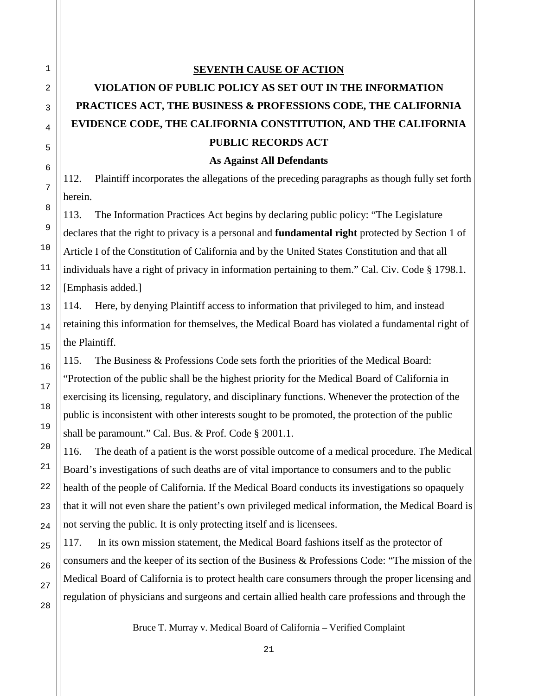#### **SEVENTH CAUSE OF ACTION**

# **VIOLATION OF PUBLIC POLICY AS SET OUT IN THE INFORMATION PRACTICES ACT, THE BUSINESS & PROFESSIONS CODE, THE CALIFORNIA EVIDENCE CODE, THE CALIFORNIA CONSTITUTION, AND THE CALIFORNIA PUBLIC RECORDS ACT**

**As Against All Defendants**

112. Plaintiff incorporates the allegations of the preceding paragraphs as though fully set forth herein.

113. The Information Practices Act begins by declaring public policy: "The Legislature declares that the right to privacy is a personal and **fundamental right** protected by Section 1 of Article I of the Constitution of California and by the United States Constitution and that all individuals have a right of privacy in information pertaining to them." Cal. Civ. Code § 1798.1. [Emphasis added.]

114. Here, by denying Plaintiff access to information that privileged to him, and instead retaining this information for themselves, the Medical Board has violated a fundamental right of the Plaintiff.

115. The Business & Professions Code sets forth the priorities of the Medical Board: "Protection of the public shall be the highest priority for the Medical Board of California in exercising its licensing, regulatory, and disciplinary functions. Whenever the protection of the public is inconsistent with other interests sought to be promoted, the protection of the public shall be paramount." Cal. Bus. & Prof. Code § 2001.1.

116. The death of a patient is the worst possible outcome of a medical procedure. The Medical Board's investigations of such deaths are of vital importance to consumers and to the public health of the people of California. If the Medical Board conducts its investigations so opaquely that it will not even share the patient's own privileged medical information, the Medical Board is not serving the public. It is only protecting itself and is licensees.

117. In its own mission statement, the Medical Board fashions itself as the protector of consumers and the keeper of its section of the Business & Professions Code: "The mission of the Medical Board of California is to protect health care consumers through the proper licensing and regulation of physicians and surgeons and certain allied health care professions and through the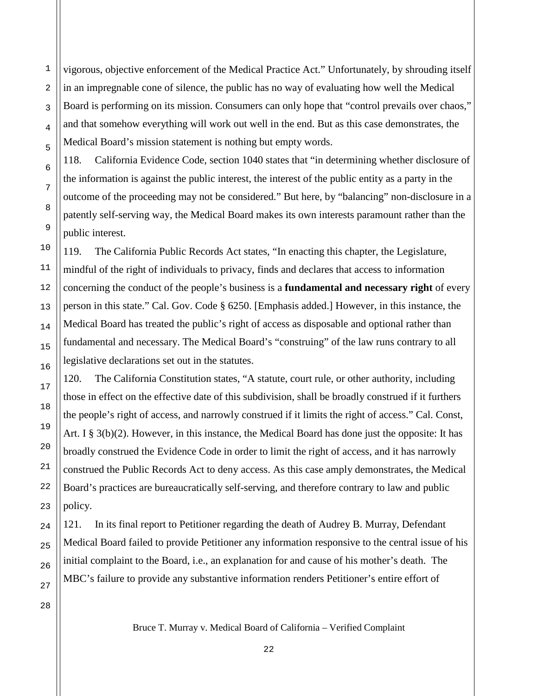vigorous, objective enforcement of the Medical Practice Act." Unfortunately, by shrouding itself in an impregnable cone of silence, the public has no way of evaluating how well the Medical Board is performing on its mission. Consumers can only hope that "control prevails over chaos," and that somehow everything will work out well in the end. But as this case demonstrates, the Medical Board's mission statement is nothing but empty words.

118. California Evidence Code, section 1040 states that "in determining whether disclosure of the information is against the public interest, the interest of the public entity as a party in the outcome of the proceeding may not be considered." But here, by "balancing" non-disclosure in a patently self-serving way, the Medical Board makes its own interests paramount rather than the public interest.

119. The California Public Records Act states, "In enacting this chapter, the Legislature, mindful of the right of individuals to privacy, finds and declares that access to information concerning the conduct of the people's business is a **fundamental and necessary right** of every person in this state." Cal. Gov. Code § 6250. [Emphasis added.] However, in this instance, the Medical Board has treated the public's right of access as disposable and optional rather than fundamental and necessary. The Medical Board's "construing" of the law runs contrary to all legislative declarations set out in the statutes.

120. The California Constitution states, "A statute, court rule, or other authority, including those in effect on the effective date of this subdivision, shall be broadly construed if it furthers the people's right of access, and narrowly construed if it limits the right of access." Cal. Const, Art. I  $\S 3(b)(2)$ . However, in this instance, the Medical Board has done just the opposite: It has broadly construed the Evidence Code in order to limit the right of access, and it has narrowly construed the Public Records Act to deny access. As this case amply demonstrates, the Medical Board's practices are bureaucratically self-serving, and therefore contrary to law and public policy.

121. In its final report to Petitioner regarding the death of Audrey B. Murray, Defendant Medical Board failed to provide Petitioner any information responsive to the central issue of his initial complaint to the Board, i.e., an explanation for and cause of his mother's death. The MBC's failure to provide any substantive information renders Petitioner's entire effort of

28

1

2

3

4

5

6

7

8

9

10

11

12

13

14

15

16

17

18

19

20

21

22

23

24

25

26

27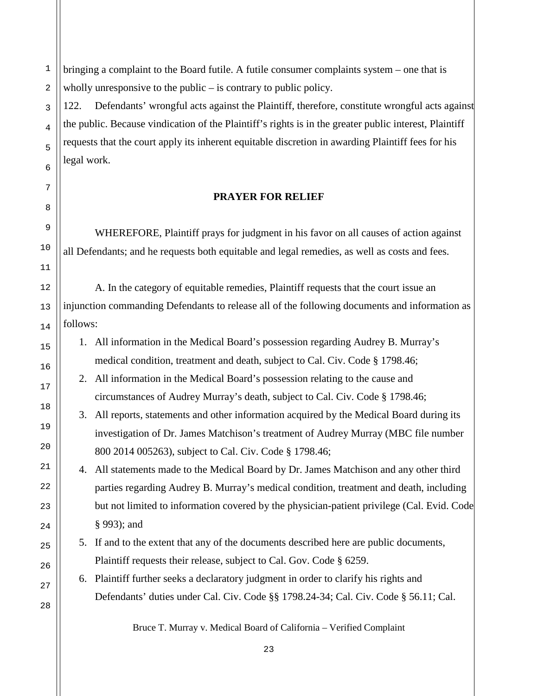bringing a complaint to the Board futile. A futile consumer complaints system – one that is wholly unresponsive to the public – is contrary to public policy.

122. Defendants' wrongful acts against the Plaintiff, therefore, constitute wrongful acts against the public. Because vindication of the Plaintiff's rights is in the greater public interest, Plaintiff requests that the court apply its inherent equitable discretion in awarding Plaintiff fees for his legal work.

### **PRAYER FOR RELIEF**

WHEREFORE, Plaintiff prays for judgment in his favor on all causes of action against all Defendants; and he requests both equitable and legal remedies, as well as costs and fees.

A. In the category of equitable remedies, Plaintiff requests that the court issue an injunction commanding Defendants to release all of the following documents and information as follows:

- 1. All information in the Medical Board's possession regarding Audrey B. Murray's medical condition, treatment and death, subject to Cal. Civ. Code § 1798.46;
- 2. All information in the Medical Board's possession relating to the cause and circumstances of Audrey Murray's death, subject to Cal. Civ. Code § 1798.46;
- 3. All reports, statements and other information acquired by the Medical Board during its investigation of Dr. James Matchison's treatment of Audrey Murray (MBC file number 800 2014 005263), subject to Cal. Civ. Code § 1798.46;

4. All statements made to the Medical Board by Dr. James Matchison and any other third parties regarding Audrey B. Murray's medical condition, treatment and death, including but not limited to information covered by the physician-patient privilege (Cal. Evid. Code § 993); and

- 5. If and to the extent that any of the documents described here are public documents, Plaintiff requests their release, subject to Cal. Gov. Code § 6259.
- 6. Plaintiff further seeks a declaratory judgment in order to clarify his rights and Defendants' duties under Cal. Civ. Code §§ 1798.24-34; Cal. Civ. Code § 56.11; Cal.

Bruce T. Murray v. Medical Board of California – Verified Complaint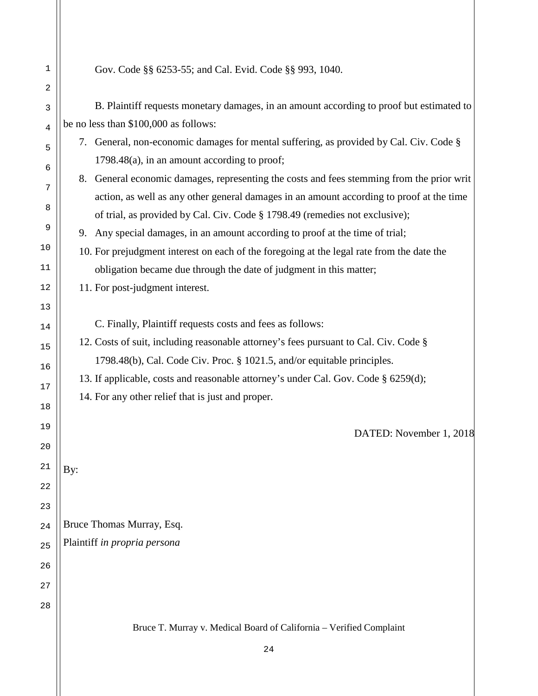| 1  | Gov. Code §§ 6253-55; and Cal. Evid. Code §§ 993, 1040.                                   |
|----|-------------------------------------------------------------------------------------------|
| 2  |                                                                                           |
| 3  | B. Plaintiff requests monetary damages, in an amount according to proof but estimated to  |
| 4  | be no less than \$100,000 as follows:                                                     |
| 5  | 7. General, non-economic damages for mental suffering, as provided by Cal. Civ. Code §    |
| 6  | 1798.48(a), in an amount according to proof;                                              |
| 7  | 8. General economic damages, representing the costs and fees stemming from the prior writ |
| 8  | action, as well as any other general damages in an amount according to proof at the time  |
|    | of trial, as provided by Cal. Civ. Code § 1798.49 (remedies not exclusive);               |
| 9  | 9. Any special damages, in an amount according to proof at the time of trial;             |
| 10 | 10. For prejudgment interest on each of the foregoing at the legal rate from the date the |
| 11 | obligation became due through the date of judgment in this matter;                        |
| 12 | 11. For post-judgment interest.                                                           |
| 13 |                                                                                           |
| 14 | C. Finally, Plaintiff requests costs and fees as follows:                                 |
| 15 | 12. Costs of suit, including reasonable attorney's fees pursuant to Cal. Civ. Code §      |
| 16 | 1798.48(b), Cal. Code Civ. Proc. § 1021.5, and/or equitable principles.                   |
| 17 | 13. If applicable, costs and reasonable attorney's under Cal. Gov. Code § 6259(d);        |
|    | 14. For any other relief that is just and proper.                                         |
| 18 |                                                                                           |
| 19 | DATED: November 1, 2018                                                                   |
| 20 |                                                                                           |
| 21 | By:                                                                                       |
| 22 |                                                                                           |
| 23 |                                                                                           |
| 24 | Bruce Thomas Murray, Esq.                                                                 |
| 25 | Plaintiff in propria persona                                                              |
| 26 |                                                                                           |
| 27 |                                                                                           |
|    |                                                                                           |
| 28 |                                                                                           |
|    | Bruce T. Murray v. Medical Board of California - Verified Complaint                       |
|    | 24                                                                                        |